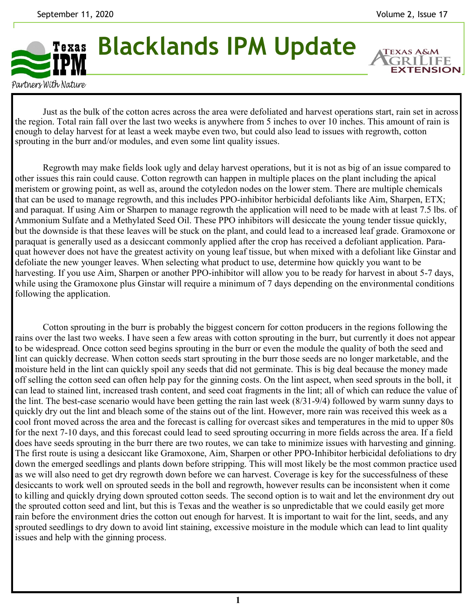**EXTENSION** 

## **Blacklands IPM Update** Texas

Partners With Nature

Just as the bulk of the cotton acres across the area were defoliated and harvest operations start, rain set in across the region. Total rain fall over the last two weeks is anywhere from 5 inches to over 10 inches. This amount of rain is enough to delay harvest for at least a week maybe even two, but could also lead to issues with regrowth, cotton sprouting in the burr and/or modules, and even some lint quality issues.

Regrowth may make fields look ugly and delay harvest operations, but it is not as big of an issue compared to other issues this rain could cause. Cotton regrowth can happen in multiple places on the plant including the apical meristem or growing point, as well as, around the cotyledon nodes on the lower stem. There are multiple chemicals that can be used to manage regrowth, and this includes PPO-inhibitor herbicidal defoliants like Aim, Sharpen, ETX; and paraquat. If using Aim or Sharpen to manage regrowth the application will need to be made with at least 7.5 lbs. of Ammonium Sulfate and a Methylated Seed Oil. These PPO inhibitors will desiccate the young tender tissue quickly, but the downside is that these leaves will be stuck on the plant, and could lead to a increased leaf grade. Gramoxone or paraquat is generally used as a desiccant commonly applied after the crop has received a defoliant application. Paraquat however does not have the greatest activity on young leaf tissue, but when mixed with a defoliant like Ginstar and defoliate the new younger leaves. When selecting what product to use, determine how quickly you want to be harvesting. If you use Aim, Sharpen or another PPO-inhibitor will allow you to be ready for harvest in about 5-7 days, while using the Gramoxone plus Ginstar will require a minimum of 7 days depending on the environmental conditions following the application.

Cotton sprouting in the burr is probably the biggest concern for cotton producers in the regions following the rains over the last two weeks. I have seen a few areas with cotton sprouting in the burr, but currently it does not appear to be widespread. Once cotton seed begins sprouting in the burr or even the module the quality of both the seed and lint can quickly decrease. When cotton seeds start sprouting in the burr those seeds are no longer marketable, and the moisture held in the lint can quickly spoil any seeds that did not germinate. This is big deal because the money made off selling the cotton seed can often help pay for the ginning costs. On the lint aspect, when seed sprouts in the boll, it can lead to stained lint, increased trash content, and seed coat fragments in the lint; all of which can reduce the value of the lint. The best-case scenario would have been getting the rain last week (8/31-9/4) followed by warm sunny days to quickly dry out the lint and bleach some of the stains out of the lint. However, more rain was received this week as a cool front moved across the area and the forecast is calling for overcast sikes and temperatures in the mid to upper 80s for the next 7-10 days, and this forecast could lead to seed sprouting occurring in more fields across the area. If a field does have seeds sprouting in the burr there are two routes, we can take to minimize issues with harvesting and ginning. The first route is using a desiccant like Gramoxone, Aim, Sharpen or other PPO-Inhibitor herbicidal defoliations to dry down the emerged seedlings and plants down before stripping. This will most likely be the most common practice used as we will also need to get dry regrowth down before we can harvest. Coverage is key for the successfulness of these desiccants to work well on sprouted seeds in the boll and regrowth, however results can be inconsistent when it come to killing and quickly drying down sprouted cotton seeds. The second option is to wait and let the environment dry out the sprouted cotton seed and lint, but this is Texas and the weather is so unpredictable that we could easily get more rain before the environment dries the cotton out enough for harvest. It is important to wait for the lint, seeds, and any sprouted seedlings to dry down to avoid lint staining, excessive moisture in the module which can lead to lint quality issues and help with the ginning process.